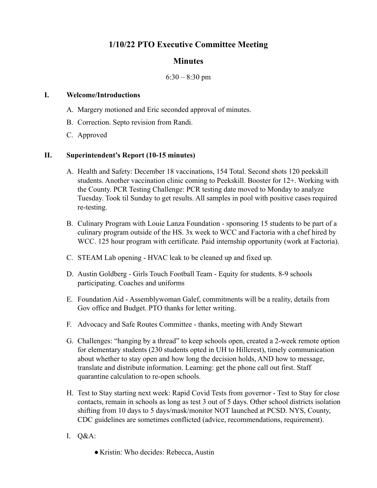# **1/10/22 PTO Executive Committee Meeting**

### **Minutes**

#### $6:30 - 8:30$  pm

#### **I. Welcome/Introductions**

- A. Margery motioned and Eric seconded approval of minutes.
- B. Correction. Septo revision from Randi.
- C. Approved

#### **II. Superintendent's Report (10-15 minutes)**

- A. Health and Safety: December 18 vaccinations, 154 Total. Second shots 120 peekskill students. Another vaccination clinic coming to Peekskill. Booster for 12+. Working with the County. PCR Testing Challenge: PCR testing date moved to Monday to analyze Tuesday. Took til Sunday to get results. All samples in pool with positive cases required re-testing.
- B. Culinary Program with Louie Lanza Foundation sponsoring 15 students to be part of a culinary program outside of the HS. 3x week to WCC and Factoria with a chef hired by WCC. 125 hour program with certificate. Paid internship opportunity (work at Factoria).
- C. STEAM Lab opening HVAC leak to be cleaned up and fixed up.
- D. Austin Goldberg Girls Touch Football Team Equity for students. 8-9 schools participating. Coaches and uniforms
- E. Foundation Aid Assemblywoman Galef, commitments will be a reality, details from Gov office and Budget. PTO thanks for letter writing.
- F. Advocacy and Safe Routes Committee thanks, meeting with Andy Stewart
- G. Challenges: "hanging by a thread" to keep schools open, created a 2-week remote option for elementary students (230 students opted in UH to Hillcrest), timely communication about whether to stay open and how long the decision holds, AND how to message, translate and distribute information. Learning: get the phone call out first. Staff quarantine calculation to re-open schools.
- H. Test to Stay starting next week: Rapid Covid Tests from governor Test to Stay for close contacts, remain in schools as long as test 3 out of 5 days. Other school districts isolation shifting from 10 days to 5 days/mask/monitor NOT launched at PCSD. NYS, County, CDC guidelines are sometimes conflicted (advice, recommendations, requirement).
- I. Q&A:
	- Kristin: Who decides: Rebecca, Austin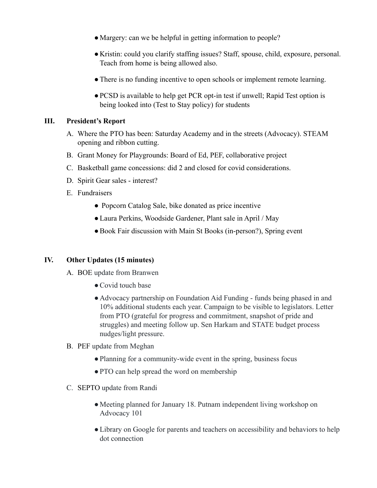- Margery: can we be helpful in getting information to people?
- Kristin: could you clarify staffing issues? Staff, spouse, child, exposure, personal. Teach from home is being allowed also.
- There is no funding incentive to open schools or implement remote learning.
- ●PCSD is available to help get PCR opt-in test if unwell; Rapid Test option is being looked into (Test to Stay policy) for students

### **III. President's Report**

- A. Where the PTO has been: Saturday Academy and in the streets (Advocacy). STEAM opening and ribbon cutting.
- B. Grant Money for Playgrounds: Board of Ed, PEF, collaborative project
- C. Basketball game concessions: did 2 and closed for covid considerations.
- D. Spirit Gear sales interest?
- E. Fundraisers
	- Popcorn Catalog Sale, bike donated as price incentive
	- ●Laura Perkins, Woodside Gardener, Plant sale in April / May
	- Book Fair discussion with Main St Books (in-person?), Spring event

### **IV. Other Updates (15 minutes)**

- A. BOE update from Branwen
	- Covid touch base
	- Advocacy partnership on Foundation Aid Funding funds being phased in and 10% additional students each year. Campaign to be visible to legislators. Letter from PTO (grateful for progress and commitment, snapshot of pride and struggles) and meeting follow up. Sen Harkam and STATE budget process nudges/light pressure.

#### B. PEF update from Meghan

- Planning for a community-wide event in the spring, business focus
- PTO can help spread the word on membership
- C. SEPTO update from Randi
	- Meeting planned for January 18. Putnam independent living workshop on Advocacy 101
	- Library on Google for parents and teachers on accessibility and behaviors to help dot connection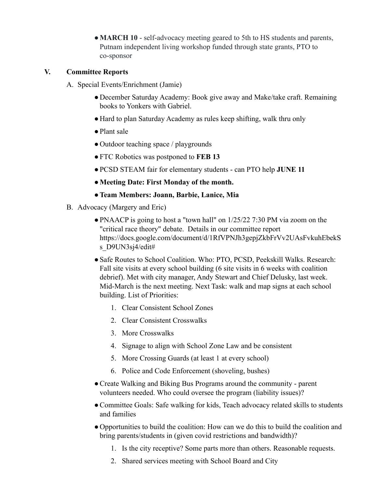• **MARCH 10** - self-advocacy meeting geared to 5th to HS students and parents, Putnam independent living workshop funded through state grants, PTO to co-sponsor

### **V. Committee Reports**

- A. Special Events/Enrichment (Jamie)
	- December Saturday Academy: Book give away and Make/take craft. Remaining books to Yonkers with Gabriel.
	- Hard to plan Saturday Academy as rules keep shifting, walk thru only
	- ●Plant sale
	- Outdoor teaching space / playgrounds
	- ●FTC Robotics was postponed to **FEB 13**
	- ●PCSD STEAM fair for elementary students can PTO help **JUNE 11**
	- **●Meeting Date: First Monday of the month.**
	- **●Team Members: Joann, Barbie, Lanice, Mia**
- B. Advocacy (Margery and Eric)
	- PNAACP is going to host a "town hall" on 1/25/22 7:30 PM via zoom on the "critical race theory" debate. Details in our committee report https://docs.google.com/document/d/1RfVPNJh3gepjZkbFrVv2UAsFvkuhEbekS s D9UN3sj4/edit#
	- ●Safe Routes to School Coalition. Who: PTO, PCSD, Peekskill Walks. Research: Fall site visits at every school building (6 site visits in 6 weeks with coalition debrief). Met with city manager, Andy Stewart and Chief Delusky, last week. Mid-March is the next meeting. Next Task: walk and map signs at each school building. List of Priorities:
		- 1. Clear Consistent School Zones
		- 2. Clear Consistent Crosswalks
		- 3. More Crosswalks
		- 4. Signage to align with School Zone Law and be consistent
		- 5. More Crossing Guards (at least 1 at every school)
		- 6. Police and Code Enforcement (shoveling, bushes)
	- ●Create Walking and Biking Bus Programs around the community parent volunteers needed. Who could oversee the program (liability issues)?
	- ●Committee Goals: Safe walking for kids, Teach advocacy related skills to students and families
	- Opportunities to build the coalition: How can we do this to build the coalition and bring parents/students in (given covid restrictions and bandwidth)?
		- 1. Is the city receptive? Some parts more than others. Reasonable requests.
		- 2. Shared services meeting with School Board and City